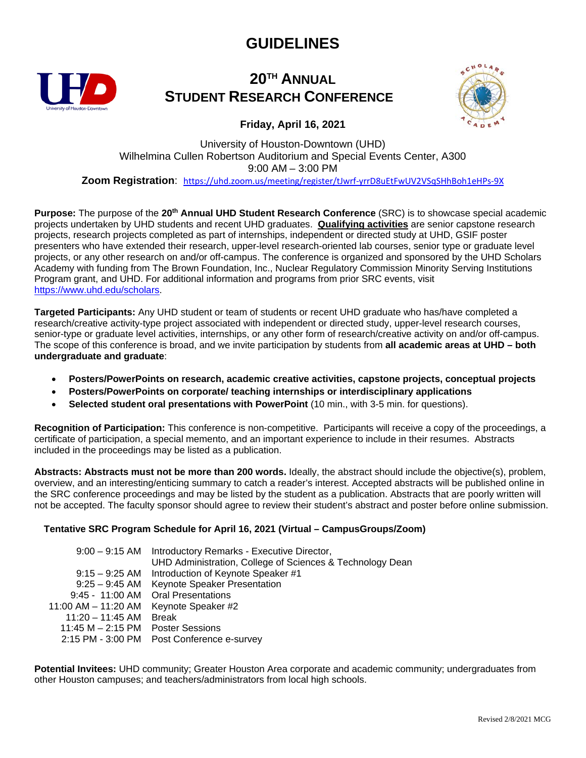# **GUIDELINES**



### **20TH ANNUAL STUDENT RESEARCH CONFERENCE**



**Friday, April 16, 2021** 

University of Houston-Downtown (UHD) Wilhelmina Cullen Robertson Auditorium and Special Events Center, A300 9:00 AM – 3:00 PM **Zoom Registration**: <https://uhd.zoom.us/meeting/register/tJwrf-yrrD8uEtFwUV2VSqSHhBoh1eHPs-9X>

**Purpose:** The purpose of the **20th Annual UHD Student Research Conference** (SRC) is to showcase special academic projects undertaken by UHD students and recent UHD graduates. **Qualifying activities** are senior capstone research projects, research projects completed as part of internships, independent or directed study at UHD, GSIF poster presenters who have extended their research, upper-level research-oriented lab courses, senior type or graduate level projects, or any other research on and/or off-campus. The conference is organized and sponsored by the UHD Scholars Academy with funding from The Brown Foundation, Inc., Nuclear Regulatory Commission Minority Serving Institutions Program grant, and UHD. For additional information and programs from prior SRC events, visit [https://www.uhd.edu/scholars.](https://www.uhd.edu/scholars)

**Targeted Participants:** Any UHD student or team of students or recent UHD graduate who has/have completed a research/creative activity-type project associated with independent or directed study, upper-level research courses, senior-type or graduate level activities, internships, or any other form of research/creative activity on and/or off-campus. The scope of this conference is broad, and we invite participation by students from **all academic areas at UHD – both undergraduate and graduate**:

- **Posters/PowerPoints on research, academic creative activities, capstone projects, conceptual projects**
- **Posters/PowerPoints on corporate/ teaching internships or interdisciplinary applications**
- **Selected student oral presentations with PowerPoint** (10 min., with 3-5 min. for questions).

**Recognition of Participation:** This conference is non-competitive. Participants will receive a copy of the proceedings, a certificate of participation, a special memento, and an important experience to include in their resumes. Abstracts included in the proceedings may be listed as a publication.

**Abstracts: Abstracts must not be more than 200 words.** Ideally, the abstract should include the objective(s), problem, overview, and an interesting/enticing summary to catch a reader's interest. Accepted abstracts will be published online in the SRC conference proceedings and may be listed by the student as a publication. Abstracts that are poorly written will not be accepted. The faculty sponsor should agree to review their student's abstract and poster before online submission.

#### **Tentative SRC Program Schedule for April 16, 2021 (Virtual – CampusGroups/Zoom)**

|                                     | 9:00 - 9:15 AM Introductory Remarks - Executive Director, |
|-------------------------------------|-----------------------------------------------------------|
|                                     | UHD Administration, College of Sciences & Technology Dean |
|                                     | 9:15 - 9:25 AM Introduction of Keynote Speaker #1         |
| $9:25 - 9:45$ AM                    | Keynote Speaker Presentation                              |
|                                     | 9:45 - 11:00 AM Oral Presentations                        |
| 11:00 AM – 11:20 AM                 | Keynote Speaker #2                                        |
| 11:20 – 11:45 AM                    | <b>Break</b>                                              |
| 11:45 $M - 2:15$ PM Poster Sessions |                                                           |
|                                     | 2:15 PM - 3:00 PM Post Conference e-survey                |

**Potential Invitees:** UHD community; Greater Houston Area corporate and academic community; undergraduates from other Houston campuses; and teachers/administrators from local high schools.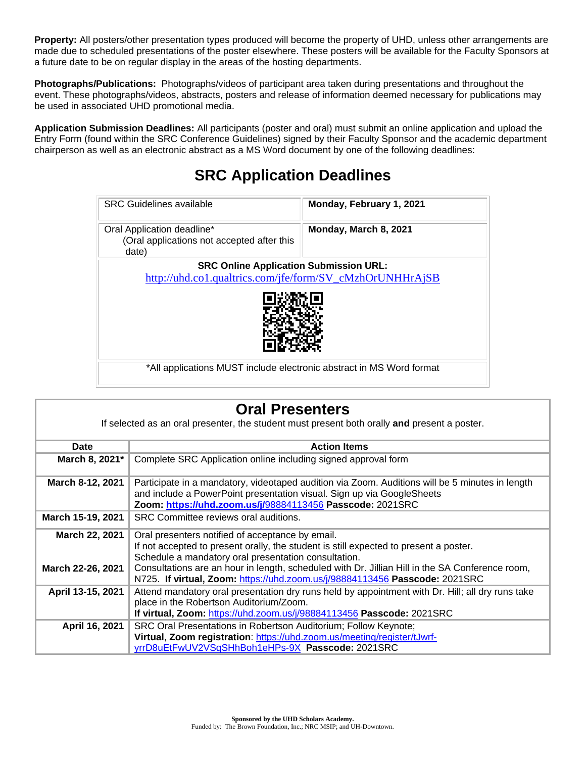**Property:** All posters/other presentation types produced will become the property of UHD, unless other arrangements are made due to scheduled presentations of the poster elsewhere. These posters will be available for the Faculty Sponsors at a future date to be on regular display in the areas of the hosting departments.

**Photographs/Publications:** Photographs/videos of participant area taken during presentations and throughout the event. These photographs/videos, abstracts, posters and release of information deemed necessary for publications may be used in associated UHD promotional media.

**Application Submission Deadlines:** All participants (poster and oral) must submit an online application and upload the Entry Form (found within the SRC Conference Guidelines) signed by their Faculty Sponsor and the academic department chairperson as well as an electronic abstract as a MS Word document by one of the following deadlines:

# **SRC Application Deadlines**

| <b>SRC</b> Guidelines available                                                                           | Monday, February 1, 2021 |  |
|-----------------------------------------------------------------------------------------------------------|--------------------------|--|
| Oral Application deadline*<br>(Oral applications not accepted after this<br>date)                         | Monday, March 8, 2021    |  |
| <b>SRC Online Application Submission URL:</b><br>http://uhd.co1.qualtrics.com/jfe/form/SV_cMzhOrUNHHrAjSB |                          |  |
| *All applications MUST include electronic abstract in MS Word format                                      |                          |  |

| <b>Oral Presenters</b>                                                                       |                                                                                                                                                                                                                                                                                                                                                                                     |  |
|----------------------------------------------------------------------------------------------|-------------------------------------------------------------------------------------------------------------------------------------------------------------------------------------------------------------------------------------------------------------------------------------------------------------------------------------------------------------------------------------|--|
| If selected as an oral presenter, the student must present both orally and present a poster. |                                                                                                                                                                                                                                                                                                                                                                                     |  |
| Date                                                                                         | <b>Action Items</b>                                                                                                                                                                                                                                                                                                                                                                 |  |
| March 8, 2021*                                                                               | Complete SRC Application online including signed approval form                                                                                                                                                                                                                                                                                                                      |  |
| March 8-12, 2021                                                                             | Participate in a mandatory, videotaped audition via Zoom. Auditions will be 5 minutes in length<br>and include a PowerPoint presentation visual. Sign up via GoogleSheets<br>Zoom: https://uhd.zoom.us/j/98884113456 Passcode: 2021SRC                                                                                                                                              |  |
| March 15-19, 2021                                                                            | SRC Committee reviews oral auditions.                                                                                                                                                                                                                                                                                                                                               |  |
| <b>March 22, 2021</b><br>March 22-26, 2021                                                   | Oral presenters notified of acceptance by email.<br>If not accepted to present orally, the student is still expected to present a poster.<br>Schedule a mandatory oral presentation consultation.<br>Consultations are an hour in length, scheduled with Dr. Jillian Hill in the SA Conference room,<br>N725. If virtual, Zoom: https://uhd.zoom.us/j/98884113456 Passcode: 2021SRC |  |
| April 13-15, 2021                                                                            | Attend mandatory oral presentation dry runs held by appointment with Dr. Hill; all dry runs take<br>place in the Robertson Auditorium/Zoom.<br>If virtual, Zoom: https://uhd.zoom.us/j/98884113456 Passcode: 2021SRC                                                                                                                                                                |  |
| April 16, 2021                                                                               | SRC Oral Presentations in Robertson Auditorium; Follow Keynote;<br>Virtual, Zoom registration: https://uhd.zoom.us/meeting/register/tJwrf-<br>yrrD8uEtFwUV2VSqSHhBoh1eHPs-9X Passcode: 2021SRC                                                                                                                                                                                      |  |